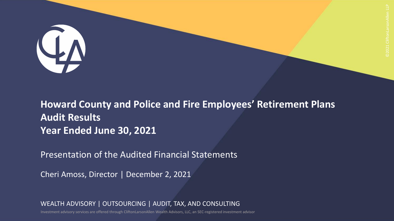

**Howard County and Police and Fire Employees' Retirement Plans Audit Results Year Ended June 30, 2021**

Presentation of the Audited Financial Statements

Cheri Amoss, Director | December 2, 2021

WEALTH ADVISORY | OUTSOURCING | AUDIT, TAX, AND CONSULTING

Investment advisory services are offered through CliftonLarsonAllen Wealth Advisors, LLC, an SEC-registered investment advisor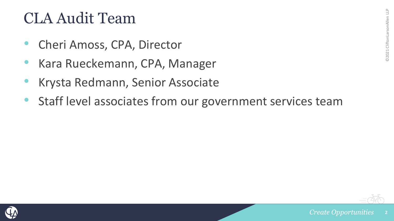#### CLA Audit Team

- Cheri Amoss, CPA, Director
- Kara Rueckemann, CPA, Manager
- Krysta Redmann, Senior Associate
- Staff level associates from our government services team

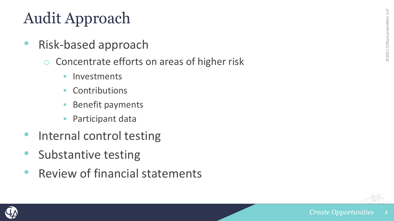# Audit Approach

- Risk-based approach
	- o Concentrate efforts on areas of higher risk
		- **·** Investments
		- **Contributions**
		- **Benefit payments**
		- Participant data
- Internal control testing
- Substantive testing
- Review of financial statements



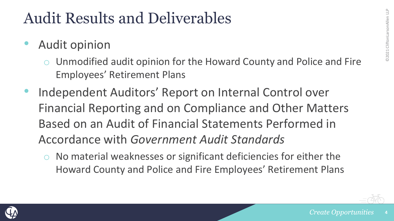#### Audit Results and Deliverables

- Audit opinion
	- Unmodified audit opinion for the Howard County and Police and Fire Employees' Retirement Plans
- Independent Auditors' Report on Internal Control over Financial Reporting and on Compliance and Other Matters Based on an Audit of Financial Statements Performed in Accordance with *Government Audit Standards*
	- No material weaknesses or significant deficiencies for either the Howard County and Police and Fire Employees' Retirement Plans

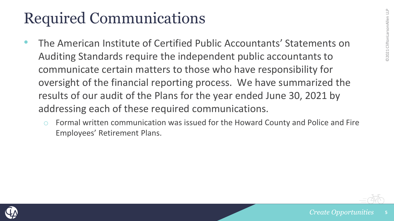## Required Communications

- The American Institute of Certified Public Accountants' Statements on Auditing Standards require the independent public accountants to communicate certain matters to those who have responsibility for oversight of the financial reporting process. We have summarized the results of our audit of the Plans for the year ended June 30, 2021 by addressing each of these required communications.
	- Formal written communication was issued for the Howard County and Police and Fire Employees' Retirement Plans.



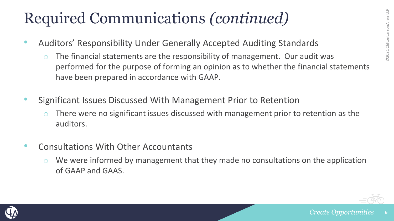- Auditors' Responsibility Under Generally Accepted Auditing Standards
	- $\circ$  The financial statements are the responsibility of management. Our audit was performed for the purpose of forming an opinion as to whether the financial statements have been prepared in accordance with GAAP.
- Significant Issues Discussed With Management Prior to Retention
	- There were no significant issues discussed with management prior to retention as the auditors.
- Consultations With Other Accountants
	- We were informed by management that they made no consultations on the application of GAAP and GAAS.



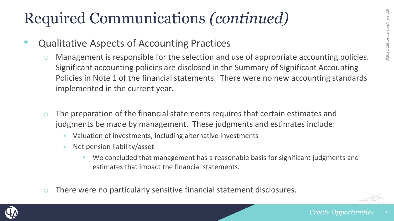- Qualitative Aspects of Accounting Practices
	- Management is responsible for the selection and use of appropriate accounting policies. Significant accounting policies are disclosed in the Summary of Significant Accounting Policies in Note 1 of the financial statements. There were no new accounting standards implemented in the current year.
	- $\circ$  The preparation of the financial statements requires that certain estimates and judgments be made by management. These judgments and estimates include:
		- Valuation of investments, including alternative investments
		- Net pension liability/asset
			- We concluded that management has a reasonable basis for significant judgments and estimates that impact the financial statements.
	- o There were no particularly sensitive financial statement disclosures.

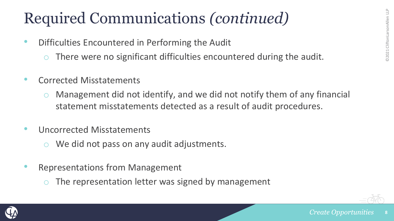- Difficulties Encountered in Performing the Audit
	- $\circ$  There were no significant difficulties encountered during the audit.
- Corrected Misstatements
	- Management did not identify, and we did not notify them of any financial statement misstatements detected as a result of audit procedures.
- Uncorrected Misstatements
	- We did not pass on any audit adjustments.
- Representations from Management
	- The representation letter was signed by management



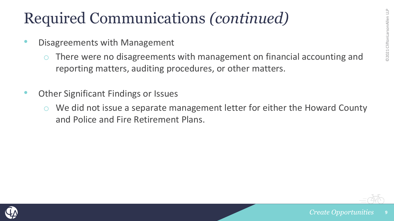- Disagreements with Management
	- There were no disagreements with management on financial accounting and reporting matters, auditing procedures, or other matters.
- Other Significant Findings or Issues
	- We did not issue a separate management letter for either the Howard County and Police and Fire Retirement Plans.



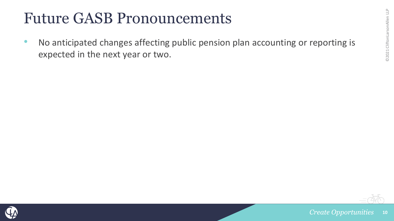#### Future GASB Pronouncements

• No anticipated changes affecting public pension plan accounting or reporting is expected in the next year or two.